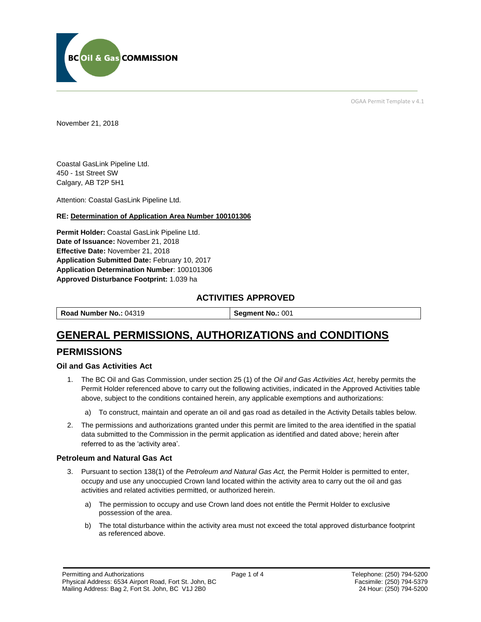

OGAA Permit Template v 4.1

November 21, 2018

Coastal GasLink Pipeline Ltd. 450 - 1st Street SW Calgary, AB T2P 5H1

Attention: Coastal GasLink Pipeline Ltd.

#### **RE: Determination of Application Area Number 100101306**

**Permit Holder:** Coastal GasLink Pipeline Ltd. **Date of Issuance:** November 21, 2018 **Effective Date:** November 21, 2018 **Application Submitted Date:** February 10, 2017 **Application Determination Number**: 100101306 **Approved Disturbance Footprint:** 1.039 ha

### **ACTIVITIES APPROVED**

**Road Number No.: 04319 <b>Segment No.: 001** 

# **GENERAL PERMISSIONS, AUTHORIZATIONS and CONDITIONS**

### **PERMISSIONS**

#### **Oil and Gas Activities Act**

- 1. The BC Oil and Gas Commission, under section 25 (1) of the *Oil and Gas Activities Act*, hereby permits the Permit Holder referenced above to carry out the following activities, indicated in the Approved Activities table above, subject to the conditions contained herein, any applicable exemptions and authorizations:
	- a) To construct, maintain and operate an oil and gas road as detailed in the Activity Details tables below.
- 2. The permissions and authorizations granted under this permit are limited to the area identified in the spatial data submitted to the Commission in the permit application as identified and dated above; herein after referred to as the 'activity area'.

#### **Petroleum and Natural Gas Act**

- 3. Pursuant to section 138(1) of the *Petroleum and Natural Gas Act,* the Permit Holder is permitted to enter, occupy and use any unoccupied Crown land located within the activity area to carry out the oil and gas activities and related activities permitted, or authorized herein.
	- a) The permission to occupy and use Crown land does not entitle the Permit Holder to exclusive possession of the area.
	- b) The total disturbance within the activity area must not exceed the total approved disturbance footprint as referenced above.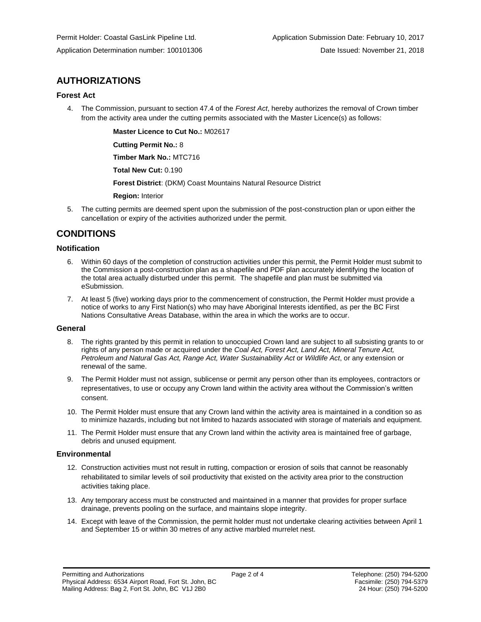## **AUTHORIZATIONS**

#### **Forest Act**

4. The Commission, pursuant to section 47.4 of the *Forest Act*, hereby authorizes the removal of Crown timber from the activity area under the cutting permits associated with the Master Licence(s) as follows:

**Master Licence to Cut No.:** M02617

**Cutting Permit No.:** 8

**Timber Mark No.:** MTC716

**Total New Cut:** 0.190

**Forest District**: (DKM) Coast Mountains Natural Resource District

**Region:** Interior

5. The cutting permits are deemed spent upon the submission of the post-construction plan or upon either the cancellation or expiry of the activities authorized under the permit.

## **CONDITIONS**

#### **Notification**

- 6. Within 60 days of the completion of construction activities under this permit, the Permit Holder must submit to the Commission a post-construction plan as a shapefile and PDF plan accurately identifying the location of the total area actually disturbed under this permit. The shapefile and plan must be submitted via eSubmission.
- 7. At least 5 (five) working days prior to the commencement of construction, the Permit Holder must provide a notice of works to any First Nation(s) who may have Aboriginal Interests identified, as per the BC First Nations Consultative Areas Database, within the area in which the works are to occur.

#### **General**

- 8. The rights granted by this permit in relation to unoccupied Crown land are subject to all subsisting grants to or rights of any person made or acquired under the *Coal Act, Forest Act, Land Act, Mineral Tenure Act, Petroleum and Natural Gas Act, Range Act, Water Sustainability Act* or *Wildlife Act*, or any extension or renewal of the same.
- 9. The Permit Holder must not assign, sublicense or permit any person other than its employees, contractors or representatives, to use or occupy any Crown land within the activity area without the Commission's written consent.
- 10. The Permit Holder must ensure that any Crown land within the activity area is maintained in a condition so as to minimize hazards, including but not limited to hazards associated with storage of materials and equipment.
- 11. The Permit Holder must ensure that any Crown land within the activity area is maintained free of garbage, debris and unused equipment.

#### **Environmental**

- 12. Construction activities must not result in rutting, compaction or erosion of soils that cannot be reasonably rehabilitated to similar levels of soil productivity that existed on the activity area prior to the construction activities taking place.
- 13. Any temporary access must be constructed and maintained in a manner that provides for proper surface drainage, prevents pooling on the surface, and maintains slope integrity.
- 14. Except with leave of the Commission, the permit holder must not undertake clearing activities between April 1 and September 15 or within 30 metres of any active marbled murrelet nest.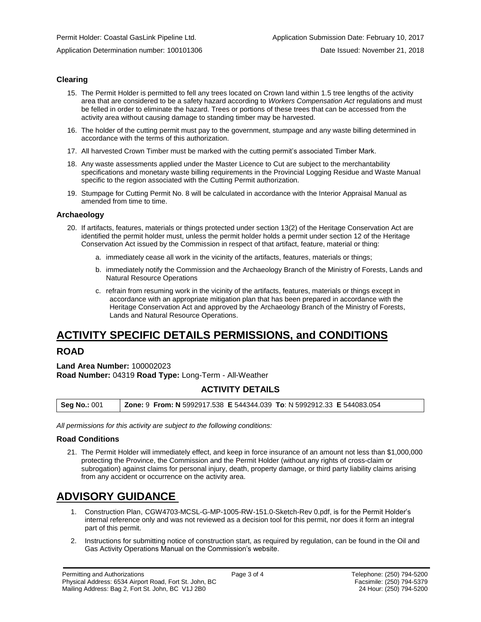#### **Clearing**

- 15. The Permit Holder is permitted to fell any trees located on Crown land within 1.5 tree lengths of the activity area that are considered to be a safety hazard according to *Workers Compensation Act* regulations and must be felled in order to eliminate the hazard. Trees or portions of these trees that can be accessed from the activity area without causing damage to standing timber may be harvested.
- 16. The holder of the cutting permit must pay to the government, stumpage and any waste billing determined in accordance with the terms of this authorization.
- 17. All harvested Crown Timber must be marked with the cutting permit's associated Timber Mark.
- 18. Any waste assessments applied under the Master Licence to Cut are subject to the merchantability specifications and monetary waste billing requirements in the Provincial Logging Residue and Waste Manual specific to the region associated with the Cutting Permit authorization.
- 19. Stumpage for Cutting Permit No. 8 will be calculated in accordance with the Interior Appraisal Manual as amended from time to time.

#### **Archaeology**

- 20. If artifacts, features, materials or things protected under section 13(2) of the Heritage Conservation Act are identified the permit holder must, unless the permit holder holds a permit under section 12 of the Heritage Conservation Act issued by the Commission in respect of that artifact, feature, material or thing:
	- a. immediately cease all work in the vicinity of the artifacts, features, materials or things;
	- b. immediately notify the Commission and the Archaeology Branch of the Ministry of Forests, Lands and Natural Resource Operations
	- c. refrain from resuming work in the vicinity of the artifacts, features, materials or things except in accordance with an appropriate mitigation plan that has been prepared in accordance with the Heritage Conservation Act and approved by the Archaeology Branch of the Ministry of Forests, Lands and Natural Resource Operations.

# **ACTIVITY SPECIFIC DETAILS PERMISSIONS, and CONDITIONS**

### **ROAD**

**Land Area Number:** 100002023 **Road Number:** 04319 **Road Type:** Long-Term - All-Weather

## **ACTIVITY DETAILS**

| <b>Seg No.: 001</b> | <b>Zone: 9 From: N</b> 5992917.538 E 544344.039 To: N 5992912.33 E 544083.054 |  |
|---------------------|-------------------------------------------------------------------------------|--|
|---------------------|-------------------------------------------------------------------------------|--|

*All permissions for this activity are subject to the following conditions:*

#### **Road Conditions**

21. The Permit Holder will immediately effect, and keep in force insurance of an amount not less than \$1,000,000 protecting the Province, the Commission and the Permit Holder (without any rights of cross-claim or subrogation) against claims for personal injury, death, property damage, or third party liability claims arising from any accident or occurrence on the activity area.

# **ADVISORY GUIDANCE**

- 1. Construction Plan, CGW4703-MCSL-G-MP-1005-RW-151.0-Sketch-Rev 0.pdf, is for the Permit Holder's internal reference only and was not reviewed as a decision tool for this permit, nor does it form an integral part of this permit.
- 2. Instructions for submitting notice of construction start, as required by regulation, can be found in the Oil and Gas Activity Operations Manual on the Commission's website.